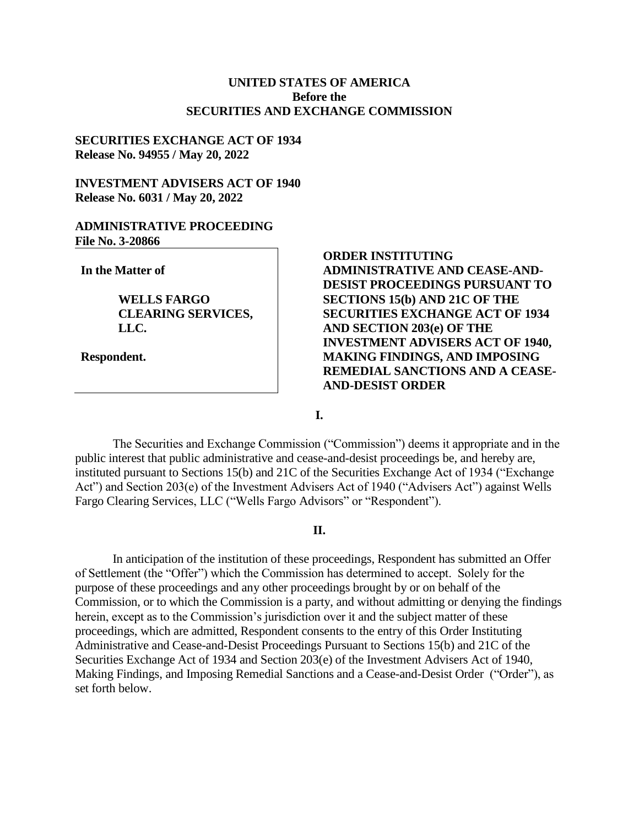# **UNITED STATES OF AMERICA Before the SECURITIES AND EXCHANGE COMMISSION**

#### **SECURITIES EXCHANGE ACT OF 1934 Release No. 94955 / May 20, 2022**

# **INVESTMENT ADVISERS ACT OF 1940 Release No. 6031 / May 20, 2022**

#### **ADMINISTRATIVE PROCEEDING File No. 3-20866**

**In the Matter of**

**WELLS FARGO CLEARING SERVICES, LLC.**

**Respondent.**

# **ORDER INSTITUTING ADMINISTRATIVE AND CEASE-AND-DESIST PROCEEDINGS PURSUANT TO SECTIONS 15(b) AND 21C OF THE SECURITIES EXCHANGE ACT OF 1934 AND SECTION 203(e) OF THE INVESTMENT ADVISERS ACT OF 1940, MAKING FINDINGS, AND IMPOSING REMEDIAL SANCTIONS AND A CEASE-AND-DESIST ORDER**

**I.**

The Securities and Exchange Commission ("Commission") deems it appropriate and in the public interest that public administrative and cease-and-desist proceedings be, and hereby are, instituted pursuant to Sections 15(b) and 21C of the Securities Exchange Act of 1934 ("Exchange Act") and Section 203(e) of the Investment Advisers Act of 1940 ("Advisers Act") against Wells Fargo Clearing Services, LLC ("Wells Fargo Advisors" or "Respondent").

# **II.**

In anticipation of the institution of these proceedings, Respondent has submitted an Offer of Settlement (the "Offer") which the Commission has determined to accept. Solely for the purpose of these proceedings and any other proceedings brought by or on behalf of the Commission, or to which the Commission is a party, and without admitting or denying the findings herein, except as to the Commission's jurisdiction over it and the subject matter of these proceedings, which are admitted, Respondent consents to the entry of this Order Instituting Administrative and Cease-and-Desist Proceedings Pursuant to Sections 15(b) and 21C of the Securities Exchange Act of 1934 and Section 203(e) of the Investment Advisers Act of 1940, Making Findings, and Imposing Remedial Sanctions and a Cease-and-Desist Order ("Order"), as set forth below.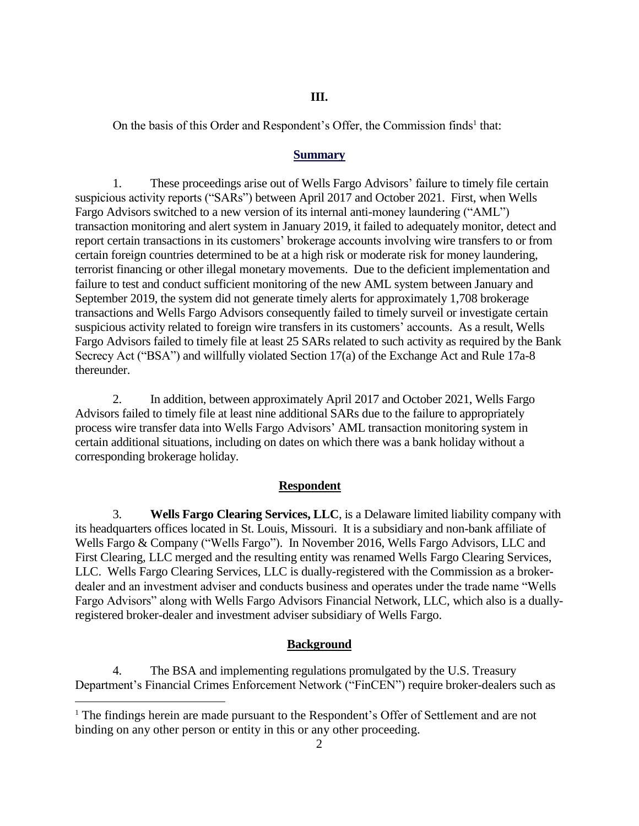## **III.**

On the basis of this Order and Respondent's Offer, the Commission finds<sup>1</sup> that:

#### **Summary**

1. These proceedings arise out of Wells Fargo Advisors' failure to timely file certain suspicious activity reports ("SARs") between April 2017 and October 2021. First, when Wells Fargo Advisors switched to a new version of its internal anti-money laundering ("AML") transaction monitoring and alert system in January 2019, it failed to adequately monitor, detect and report certain transactions in its customers' brokerage accounts involving wire transfers to or from certain foreign countries determined to be at a high risk or moderate risk for money laundering, terrorist financing or other illegal monetary movements. Due to the deficient implementation and failure to test and conduct sufficient monitoring of the new AML system between January and September 2019, the system did not generate timely alerts for approximately 1,708 brokerage transactions and Wells Fargo Advisors consequently failed to timely surveil or investigate certain suspicious activity related to foreign wire transfers in its customers' accounts. As a result, Wells Fargo Advisors failed to timely file at least 25 SARs related to such activity as required by the Bank Secrecy Act ("BSA") and willfully violated Section 17(a) of the Exchange Act and Rule 17a-8 thereunder.

2. In addition, between approximately April 2017 and October 2021, Wells Fargo Advisors failed to timely file at least nine additional SARs due to the failure to appropriately process wire transfer data into Wells Fargo Advisors' AML transaction monitoring system in certain additional situations, including on dates on which there was a bank holiday without a corresponding brokerage holiday.

#### **Respondent**

3. **Wells Fargo Clearing Services, LLC**, is a Delaware limited liability company with its headquarters offices located in St. Louis, Missouri. It is a subsidiary and non-bank affiliate of Wells Fargo & Company ("Wells Fargo"). In November 2016, Wells Fargo Advisors, LLC and First Clearing, LLC merged and the resulting entity was renamed Wells Fargo Clearing Services, LLC. Wells Fargo Clearing Services, LLC is dually-registered with the Commission as a brokerdealer and an investment adviser and conducts business and operates under the trade name "Wells Fargo Advisors" along with Wells Fargo Advisors Financial Network, LLC, which also is a duallyregistered broker-dealer and investment adviser subsidiary of Wells Fargo.

#### **Background**

4. The BSA and implementing regulations promulgated by the U.S. Treasury Department's Financial Crimes Enforcement Network ("FinCEN") require broker-dealers such as

 $\overline{a}$ 

<sup>&</sup>lt;sup>1</sup> The findings herein are made pursuant to the Respondent's Offer of Settlement and are not binding on any other person or entity in this or any other proceeding.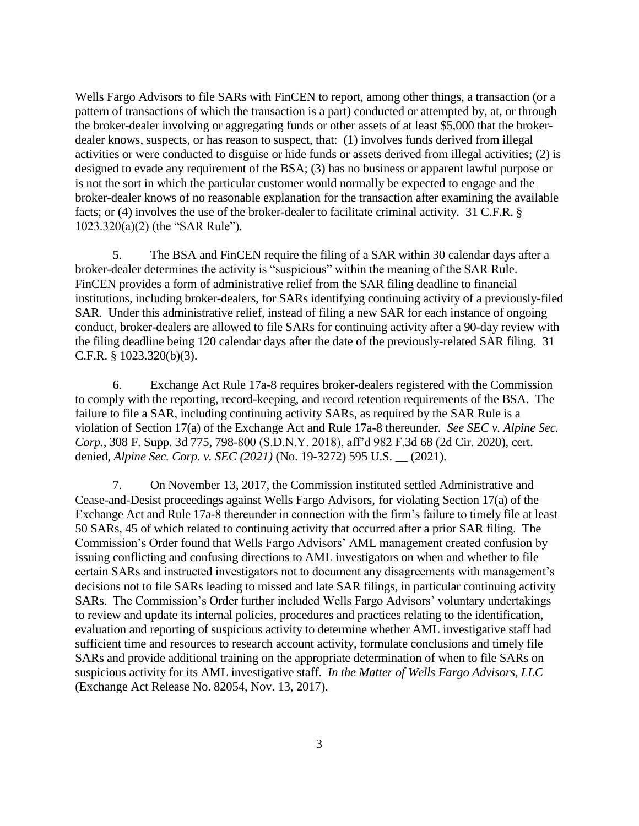Wells Fargo Advisors to file SARs with FinCEN to report, among other things, a transaction (or a pattern of transactions of which the transaction is a part) conducted or attempted by, at, or through the broker-dealer involving or aggregating funds or other assets of at least \$5,000 that the brokerdealer knows, suspects, or has reason to suspect, that: (1) involves funds derived from illegal activities or were conducted to disguise or hide funds or assets derived from illegal activities; (2) is designed to evade any requirement of the BSA; (3) has no business or apparent lawful purpose or is not the sort in which the particular customer would normally be expected to engage and the broker-dealer knows of no reasonable explanation for the transaction after examining the available facts; or (4) involves the use of the broker-dealer to facilitate criminal activity. 31 C.F.R. § 1023.320(a)(2) (the "SAR Rule").

5. The BSA and FinCEN require the filing of a SAR within 30 calendar days after a broker-dealer determines the activity is "suspicious" within the meaning of the SAR Rule. FinCEN provides a form of administrative relief from the SAR filing deadline to financial institutions, including broker-dealers, for SARs identifying continuing activity of a previously-filed SAR. Under this administrative relief, instead of filing a new SAR for each instance of ongoing conduct, broker-dealers are allowed to file SARs for continuing activity after a 90-day review with the filing deadline being 120 calendar days after the date of the previously-related SAR filing. 31 C.F.R. § 1023.320(b)(3).

6. Exchange Act Rule 17a-8 requires broker-dealers registered with the Commission to comply with the reporting, record-keeping, and record retention requirements of the BSA. The failure to file a SAR, including continuing activity SARs, as required by the SAR Rule is a violation of Section 17(a) of the Exchange Act and Rule 17a-8 thereunder. *See SEC v. Alpine Sec. Corp.*, 308 F. Supp. 3d 775, 798-800 (S.D.N.Y. 2018), aff'd 982 F.3d 68 (2d Cir. 2020), cert. denied, *Alpine Sec. Corp. v. SEC (2021)* (No. 19-3272) 595 U.S. \_\_ (2021).

7. On November 13, 2017, the Commission instituted settled Administrative and Cease-and-Desist proceedings against Wells Fargo Advisors, for violating Section 17(a) of the Exchange Act and Rule 17a-8 thereunder in connection with the firm's failure to timely file at least 50 SARs, 45 of which related to continuing activity that occurred after a prior SAR filing. The Commission's Order found that Wells Fargo Advisors' AML management created confusion by issuing conflicting and confusing directions to AML investigators on when and whether to file certain SARs and instructed investigators not to document any disagreements with management's decisions not to file SARs leading to missed and late SAR filings, in particular continuing activity SARs. The Commission's Order further included Wells Fargo Advisors' voluntary undertakings to review and update its internal policies, procedures and practices relating to the identification, evaluation and reporting of suspicious activity to determine whether AML investigative staff had sufficient time and resources to research account activity, formulate conclusions and timely file SARs and provide additional training on the appropriate determination of when to file SARs on suspicious activity for its AML investigative staff. *In the Matter of Wells Fargo Advisors, LLC* (Exchange Act Release No. 82054, Nov. 13, 2017).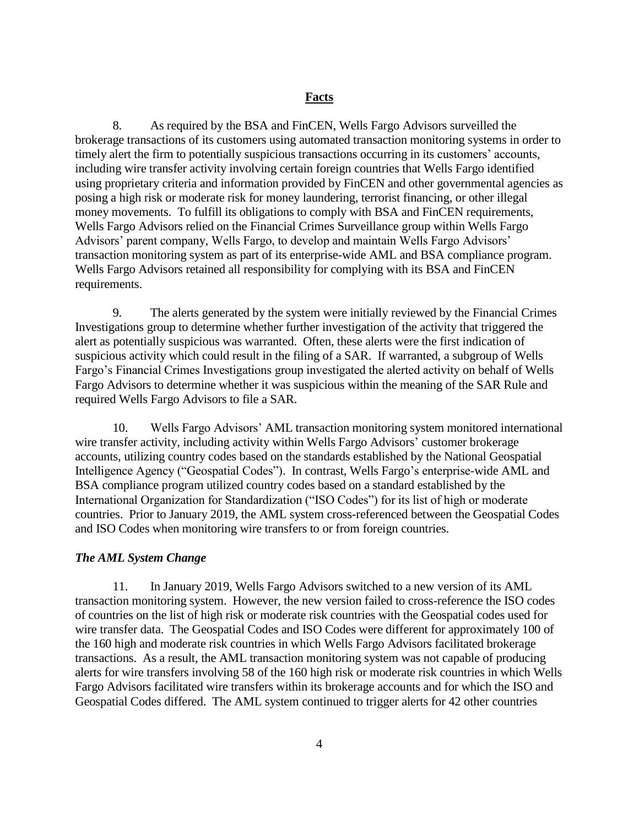8. As required by the BSA and FinCEN, Wells Fargo Advisors surveilled the brokerage transactions of its customers using automated transaction monitoring systems in order to timely alert the firm to potentially suspicious transactions occurring in its customers' accounts, including wire transfer activity involving certain foreign countries that Wells Fargo identified using proprietary criteria and information provided by FinCEN and other governmental agencies as posing a high risk or moderate risk for money laundering, terrorist financing, or other illegal money movements. To fulfill its obligations to comply with BSA and FinCEN requirements, Wells Fargo Advisors relied on the Financial Crimes Surveillance group within Wells Fargo Advisors' parent company, Wells Fargo, to develop and maintain Wells Fargo Advisors' transaction monitoring system as part of its enterprise-wide AML and BSA compliance program. Wells Fargo Advisors retained all responsibility for complying with its BSA and FinCEN requirements.

9. The alerts generated by the system were initially reviewed by the Financial Crimes Investigations group to determine whether further investigation of the activity that triggered the alert as potentially suspicious was warranted. Often, these alerts were the first indication of suspicious activity which could result in the filing of a SAR. If warranted, a subgroup of Wells Fargo's Financial Crimes Investigations group investigated the alerted activity on behalf of Wells Fargo Advisors to determine whether it was suspicious within the meaning of the SAR Rule and required Wells Fargo Advisors to file a SAR.

10. Wells Fargo Advisors' AML transaction monitoring system monitored international wire transfer activity, including activity within Wells Fargo Advisors' customer brokerage accounts, utilizing country codes based on the standards established by the National Geospatial Intelligence Agency ("Geospatial Codes"). In contrast, Wells Fargo's enterprise-wide AML and BSA compliance program utilized country codes based on a standard established by the International Organization for Standardization ("ISO Codes") for its list of high or moderate countries. Prior to January 2019, the AML system cross-referenced between the Geospatial Codes and ISO Codes when monitoring wire transfers to or from foreign countries.

#### *The AML System Change*

11. In January 2019, Wells Fargo Advisors switched to a new version of its AML transaction monitoring system. However, the new version failed to cross-reference the ISO codes of countries on the list of high risk or moderate risk countries with the Geospatial codes used for wire transfer data. The Geospatial Codes and ISO Codes were different for approximately 100 of the 160 high and moderate risk countries in which Wells Fargo Advisors facilitated brokerage transactions. As a result, the AML transaction monitoring system was not capable of producing alerts for wire transfers involving 58 of the 160 high risk or moderate risk countries in which Wells Fargo Advisors facilitated wire transfers within its brokerage accounts and for which the ISO and Geospatial Codes differed. The AML system continued to trigger alerts for 42 other countries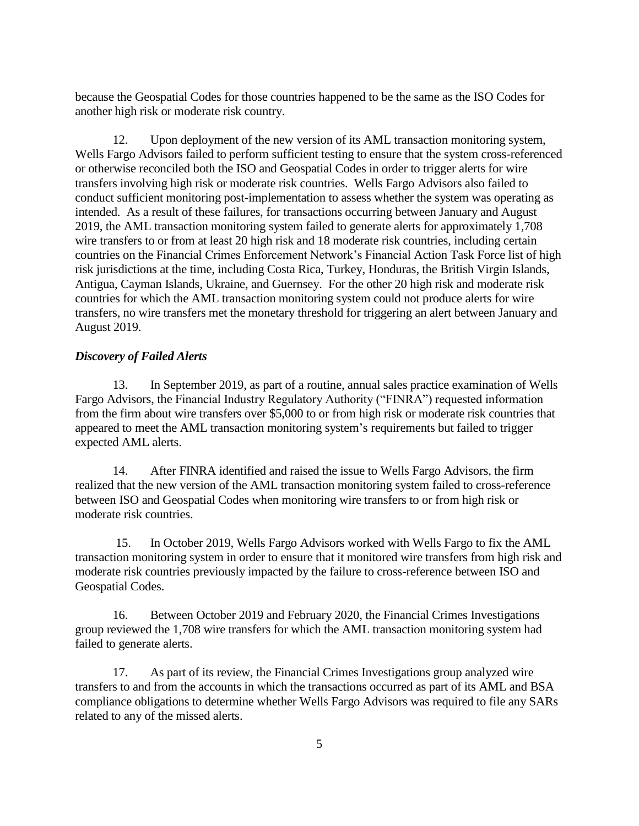because the Geospatial Codes for those countries happened to be the same as the ISO Codes for another high risk or moderate risk country.

12. Upon deployment of the new version of its AML transaction monitoring system, Wells Fargo Advisors failed to perform sufficient testing to ensure that the system cross-referenced or otherwise reconciled both the ISO and Geospatial Codes in order to trigger alerts for wire transfers involving high risk or moderate risk countries. Wells Fargo Advisors also failed to conduct sufficient monitoring post-implementation to assess whether the system was operating as intended. As a result of these failures, for transactions occurring between January and August 2019, the AML transaction monitoring system failed to generate alerts for approximately 1,708 wire transfers to or from at least 20 high risk and 18 moderate risk countries, including certain countries on the Financial Crimes Enforcement Network's Financial Action Task Force list of high risk jurisdictions at the time, including Costa Rica, Turkey, Honduras, the British Virgin Islands, Antigua, Cayman Islands, Ukraine, and Guernsey. For the other 20 high risk and moderate risk countries for which the AML transaction monitoring system could not produce alerts for wire transfers, no wire transfers met the monetary threshold for triggering an alert between January and August 2019.

## *Discovery of Failed Alerts*

13. In September 2019, as part of a routine, annual sales practice examination of Wells Fargo Advisors, the Financial Industry Regulatory Authority ("FINRA") requested information from the firm about wire transfers over \$5,000 to or from high risk or moderate risk countries that appeared to meet the AML transaction monitoring system's requirements but failed to trigger expected AML alerts.

14. After FINRA identified and raised the issue to Wells Fargo Advisors, the firm realized that the new version of the AML transaction monitoring system failed to cross-reference between ISO and Geospatial Codes when monitoring wire transfers to or from high risk or moderate risk countries.

15. In October 2019, Wells Fargo Advisors worked with Wells Fargo to fix the AML transaction monitoring system in order to ensure that it monitored wire transfers from high risk and moderate risk countries previously impacted by the failure to cross-reference between ISO and Geospatial Codes.

16. Between October 2019 and February 2020, the Financial Crimes Investigations group reviewed the 1,708 wire transfers for which the AML transaction monitoring system had failed to generate alerts.

17. As part of its review, the Financial Crimes Investigations group analyzed wire transfers to and from the accounts in which the transactions occurred as part of its AML and BSA compliance obligations to determine whether Wells Fargo Advisors was required to file any SARs related to any of the missed alerts.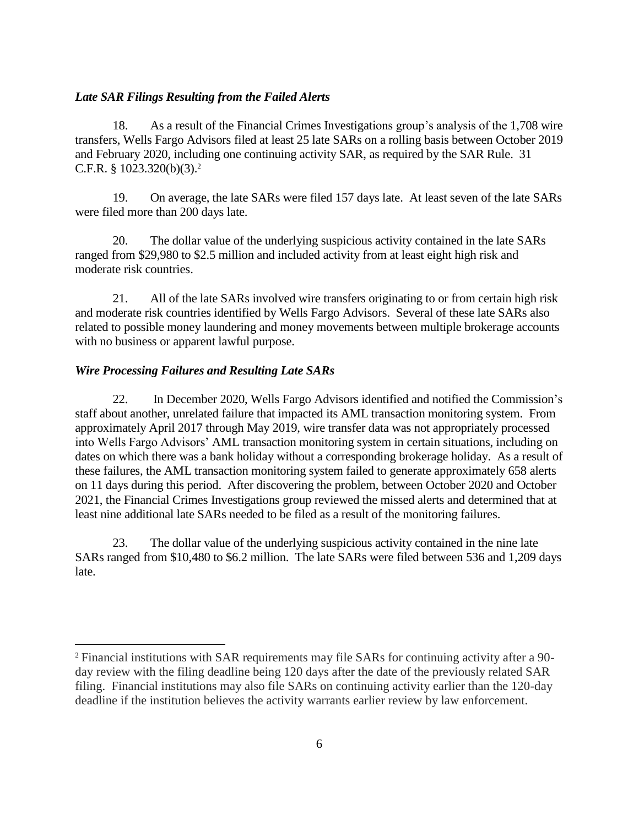#### *Late SAR Filings Resulting from the Failed Alerts*

18. As a result of the Financial Crimes Investigations group's analysis of the 1,708 wire transfers, Wells Fargo Advisors filed at least 25 late SARs on a rolling basis between October 2019 and February 2020, including one continuing activity SAR, as required by the SAR Rule. 31 C.F.R. §  $1023.320(b)(3).<sup>2</sup>$ 

19. On average, the late SARs were filed 157 days late. At least seven of the late SARs were filed more than 200 days late.

20. The dollar value of the underlying suspicious activity contained in the late SARs ranged from \$29,980 to \$2.5 million and included activity from at least eight high risk and moderate risk countries.

21. All of the late SARs involved wire transfers originating to or from certain high risk and moderate risk countries identified by Wells Fargo Advisors. Several of these late SARs also related to possible money laundering and money movements between multiple brokerage accounts with no business or apparent lawful purpose.

#### *Wire Processing Failures and Resulting Late SARs*

 $\overline{a}$ 

22. In December 2020, Wells Fargo Advisors identified and notified the Commission's staff about another, unrelated failure that impacted its AML transaction monitoring system. From approximately April 2017 through May 2019, wire transfer data was not appropriately processed into Wells Fargo Advisors' AML transaction monitoring system in certain situations, including on dates on which there was a bank holiday without a corresponding brokerage holiday. As a result of these failures, the AML transaction monitoring system failed to generate approximately 658 alerts on 11 days during this period. After discovering the problem, between October 2020 and October 2021, the Financial Crimes Investigations group reviewed the missed alerts and determined that at least nine additional late SARs needed to be filed as a result of the monitoring failures.

23. The dollar value of the underlying suspicious activity contained in the nine late SARs ranged from \$10,480 to \$6.2 million. The late SARs were filed between 536 and 1,209 days late.

<sup>2</sup> Financial institutions with SAR requirements may file SARs for continuing activity after a 90 day review with the filing deadline being 120 days after the date of the previously related SAR filing. Financial institutions may also file SARs on continuing activity earlier than the 120-day deadline if the institution believes the activity warrants earlier review by law enforcement.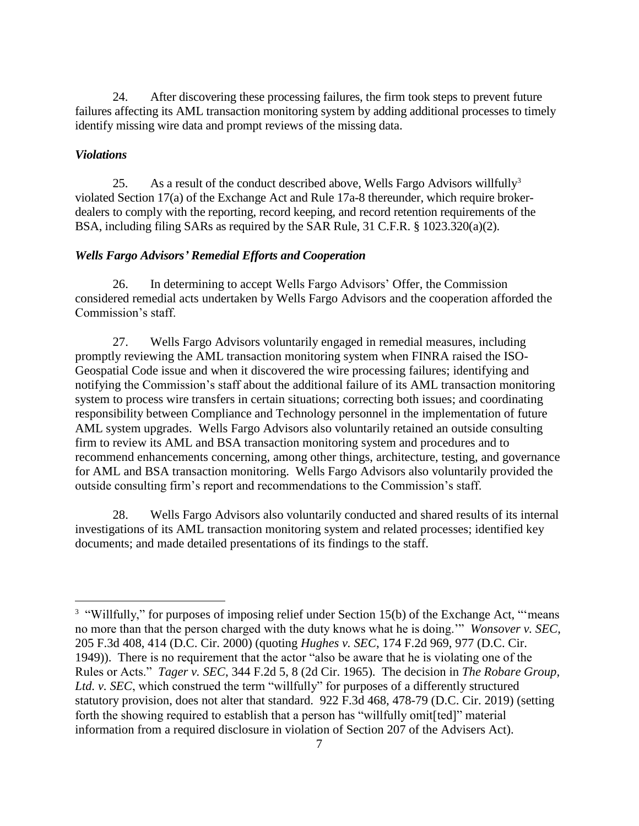24. After discovering these processing failures, the firm took steps to prevent future failures affecting its AML transaction monitoring system by adding additional processes to timely identify missing wire data and prompt reviews of the missing data.

## *Violations*

 $\overline{a}$ 

25. As a result of the conduct described above, Wells Fargo Advisors willfully<sup>3</sup> violated Section 17(a) of the Exchange Act and Rule 17a-8 thereunder, which require brokerdealers to comply with the reporting, record keeping, and record retention requirements of the BSA, including filing SARs as required by the SAR Rule, 31 C.F.R. § 1023.320(a)(2).

## *Wells Fargo Advisors' Remedial Efforts and Cooperation*

26. In determining to accept Wells Fargo Advisors' Offer, the Commission considered remedial acts undertaken by Wells Fargo Advisors and the cooperation afforded the Commission's staff.

27. Wells Fargo Advisors voluntarily engaged in remedial measures, including promptly reviewing the AML transaction monitoring system when FINRA raised the ISO-Geospatial Code issue and when it discovered the wire processing failures; identifying and notifying the Commission's staff about the additional failure of its AML transaction monitoring system to process wire transfers in certain situations; correcting both issues; and coordinating responsibility between Compliance and Technology personnel in the implementation of future AML system upgrades. Wells Fargo Advisors also voluntarily retained an outside consulting firm to review its AML and BSA transaction monitoring system and procedures and to recommend enhancements concerning, among other things, architecture, testing, and governance for AML and BSA transaction monitoring. Wells Fargo Advisors also voluntarily provided the outside consulting firm's report and recommendations to the Commission's staff.

28. Wells Fargo Advisors also voluntarily conducted and shared results of its internal investigations of its AML transaction monitoring system and related processes; identified key documents; and made detailed presentations of its findings to the staff.

<sup>&</sup>lt;sup>3</sup> "Willfully," for purposes of imposing relief under Section 15(b) of the Exchange Act, "means no more than that the person charged with the duty knows what he is doing.'" *Wonsover v. SEC*, 205 F.3d 408, 414 (D.C. Cir. 2000) (quoting *Hughes v. SEC*, 174 F.2d 969, 977 (D.C. Cir. 1949)). There is no requirement that the actor "also be aware that he is violating one of the Rules or Acts." *Tager v. SEC*, 344 F.2d 5, 8 (2d Cir. 1965). The decision in *The Robare Group, Ltd. v. SEC*, which construed the term "willfully" for purposes of a differently structured statutory provision, does not alter that standard. 922 F.3d 468, 478-79 (D.C. Cir. 2019) (setting forth the showing required to establish that a person has "willfully omit[ted]" material information from a required disclosure in violation of Section 207 of the Advisers Act).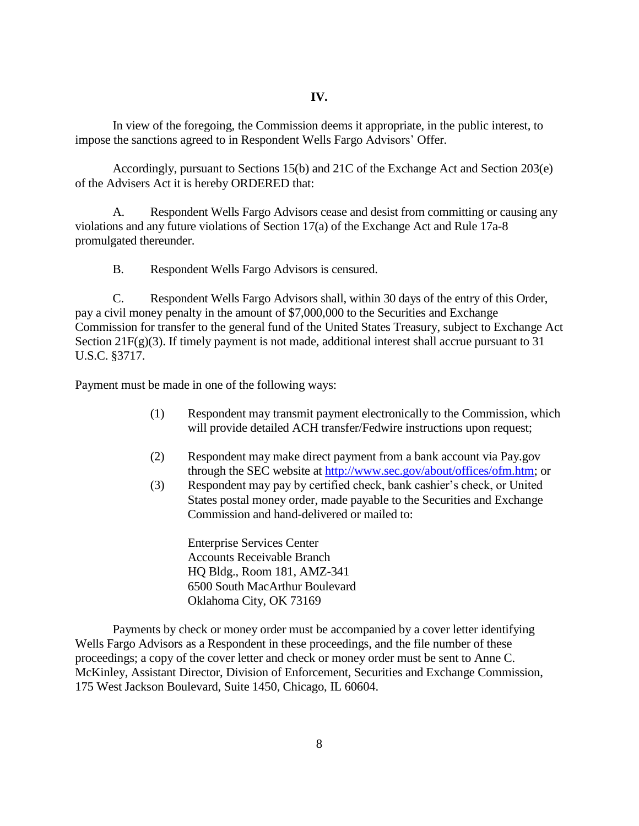In view of the foregoing, the Commission deems it appropriate, in the public interest*,* to impose the sanctions agreed to in Respondent Wells Fargo Advisors' Offer.

Accordingly, pursuant to Sections 15(b) and 21C of the Exchange Act and Section 203(e) of the Advisers Act it is hereby ORDERED that:

A. Respondent Wells Fargo Advisors cease and desist from committing or causing any violations and any future violations of Section 17(a) of the Exchange Act and Rule 17a-8 promulgated thereunder.

B. Respondent Wells Fargo Advisors is censured.

C. Respondent Wells Fargo Advisors shall, within 30 days of the entry of this Order, pay a civil money penalty in the amount of \$7,000,000 to the Securities and Exchange Commission for transfer to the general fund of the United States Treasury, subject to Exchange Act Section  $21F(g)(3)$ . If timely payment is not made, additional interest shall accrue pursuant to 31 U.S.C. §3717.

Payment must be made in one of the following ways:

- (1) Respondent may transmit payment electronically to the Commission, which will provide detailed ACH transfer/Fedwire instructions upon request;
- (2) Respondent may make direct payment from a bank account via Pay.gov through the SEC website at [http://www.sec.gov/about/offices/ofm.htm;](http://www.sec.gov/about/offices/ofm.htm) or
- (3) Respondent may pay by certified check, bank cashier's check, or United States postal money order, made payable to the Securities and Exchange Commission and hand-delivered or mailed to:

Enterprise Services Center Accounts Receivable Branch HQ Bldg., Room 181, AMZ-341 6500 South MacArthur Boulevard Oklahoma City, OK 73169

Payments by check or money order must be accompanied by a cover letter identifying Wells Fargo Advisors as a Respondent in these proceedings, and the file number of these proceedings; a copy of the cover letter and check or money order must be sent to Anne C. McKinley, Assistant Director, Division of Enforcement, Securities and Exchange Commission, 175 West Jackson Boulevard, Suite 1450, Chicago, IL 60604.